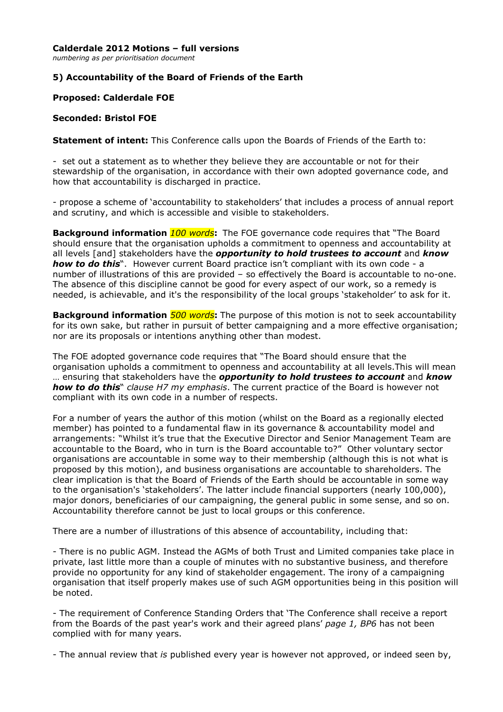#### **Calderdale 2012 Motions – full versions**

*numbering as per prioritisation document*

## **5) Accountability of the Board of Friends of the Earth**

### **Proposed: Calderdale FOE**

#### **Seconded: Bristol FOE**

**Statement of intent:** This Conference calls upon the Boards of Friends of the Earth to:

- set out a statement as to whether they believe they are accountable or not for their stewardship of the organisation, in accordance with their own adopted governance code, and how that accountability is discharged in practice.

- propose a scheme of 'accountability to stakeholders' that includes a process of annual report and scrutiny, and which is accessible and visible to stakeholders.

**Background information** *100 words***:** The FOE governance code requires that "The Board should ensure that the organisation upholds a commitment to openness and accountability at all levels [and] stakeholders have the *opportunity to hold trustees to account* and *know how to do this*". However current Board practice isn't compliant with its own code - a number of illustrations of this are provided – so effectively the Board is accountable to no-one. The absence of this discipline cannot be good for every aspect of our work, so a remedy is needed, is achievable, and it's the responsibility of the local groups 'stakeholder' to ask for it.

**Background information** *500 words***:** The purpose of this motion is not to seek accountability for its own sake, but rather in pursuit of better campaigning and a more effective organisation; nor are its proposals or intentions anything other than modest.

The FOE adopted governance code requires that "The Board should ensure that the organisation upholds a commitment to openness and accountability at all levels.This will mean … ensuring that stakeholders have the *opportunity to hold trustees to account* and *know how to do this*" *clause H7 my emphasis*. The current practice of the Board is however not compliant with its own code in a number of respects.

For a number of years the author of this motion (whilst on the Board as a regionally elected member) has pointed to a fundamental flaw in its governance & accountability model and arrangements: "Whilst it's true that the Executive Director and Senior Management Team are accountable to the Board, who in turn is the Board accountable to?" Other voluntary sector organisations are accountable in some way to their membership (although this is not what is proposed by this motion), and business organisations are accountable to shareholders. The clear implication is that the Board of Friends of the Earth should be accountable in some way to the organisation's 'stakeholders'. The latter include financial supporters (nearly 100,000), major donors, beneficiaries of our campaigning, the general public in some sense, and so on. Accountability therefore cannot be just to local groups or this conference.

There are a number of illustrations of this absence of accountability, including that:

- There is no public AGM. Instead the AGMs of both Trust and Limited companies take place in private, last little more than a couple of minutes with no substantive business, and therefore provide no opportunity for any kind of stakeholder engagement. The irony of a campaigning organisation that itself properly makes use of such AGM opportunities being in this position will be noted.

- The requirement of Conference Standing Orders that 'The Conference shall receive a report from the Boards of the past year's work and their agreed plans' *page 1, BP6* has not been complied with for many years.

- The annual review that *is* published every year is however not approved, or indeed seen by,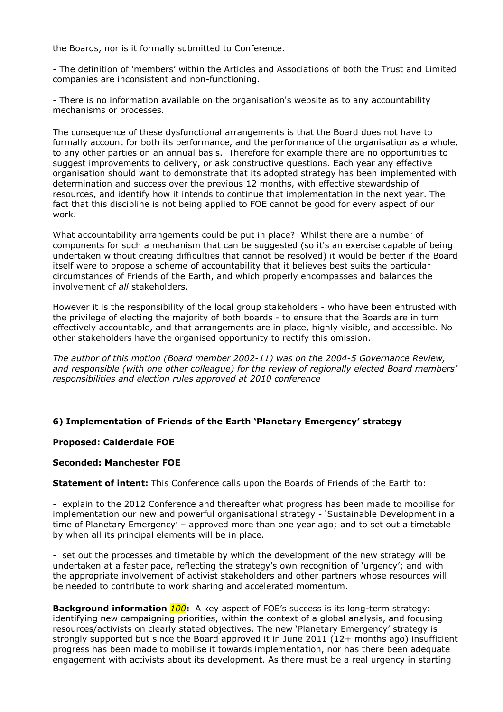the Boards, nor is it formally submitted to Conference.

- The definition of 'members' within the Articles and Associations of both the Trust and Limited companies are inconsistent and non-functioning.

- There is no information available on the organisation's website as to any accountability mechanisms or processes.

The consequence of these dysfunctional arrangements is that the Board does not have to formally account for both its performance, and the performance of the organisation as a whole, to any other parties on an annual basis. Therefore for example there are no opportunities to suggest improvements to delivery, or ask constructive questions. Each year any effective organisation should want to demonstrate that its adopted strategy has been implemented with determination and success over the previous 12 months, with effective stewardship of resources, and identify how it intends to continue that implementation in the next year. The fact that this discipline is not being applied to FOE cannot be good for every aspect of our work.

What accountability arrangements could be put in place? Whilst there are a number of components for such a mechanism that can be suggested (so it's an exercise capable of being undertaken without creating difficulties that cannot be resolved) it would be better if the Board itself were to propose a scheme of accountability that it believes best suits the particular circumstances of Friends of the Earth, and which properly encompasses and balances the involvement of *all* stakeholders.

However it is the responsibility of the local group stakeholders - who have been entrusted with the privilege of electing the majority of both boards - to ensure that the Boards are in turn effectively accountable, and that arrangements are in place, highly visible, and accessible. No other stakeholders have the organised opportunity to rectify this omission.

*The author of this motion (Board member 2002-11) was on the 2004-5 Governance Review, and responsible (with one other colleague) for the review of regionally elected Board members' responsibilities and election rules approved at 2010 conference*

### **6) Implementation of Friends of the Earth 'Planetary Emergency' strategy**

### **Proposed: Calderdale FOE**

### **Seconded: Manchester FOE**

**Statement of intent:** This Conference calls upon the Boards of Friends of the Earth to:

- explain to the 2012 Conference and thereafter what progress has been made to mobilise for implementation our new and powerful organisational strategy - 'Sustainable Development in a time of Planetary Emergency' – approved more than one year ago; and to set out a timetable by when all its principal elements will be in place.

- set out the processes and timetable by which the development of the new strategy will be undertaken at a faster pace, reflecting the strategy's own recognition of 'urgency'; and with the appropriate involvement of activist stakeholders and other partners whose resources will be needed to contribute to work sharing and accelerated momentum.

**Background information** *100***:** A key aspect of FOE's success is its long-term strategy: identifying new campaigning priorities, within the context of a global analysis, and focusing resources/activists on clearly stated objectives. The new 'Planetary Emergency' strategy is strongly supported but since the Board approved it in June 2011 (12+ months ago) insufficient progress has been made to mobilise it towards implementation, nor has there been adequate engagement with activists about its development. As there must be a real urgency in starting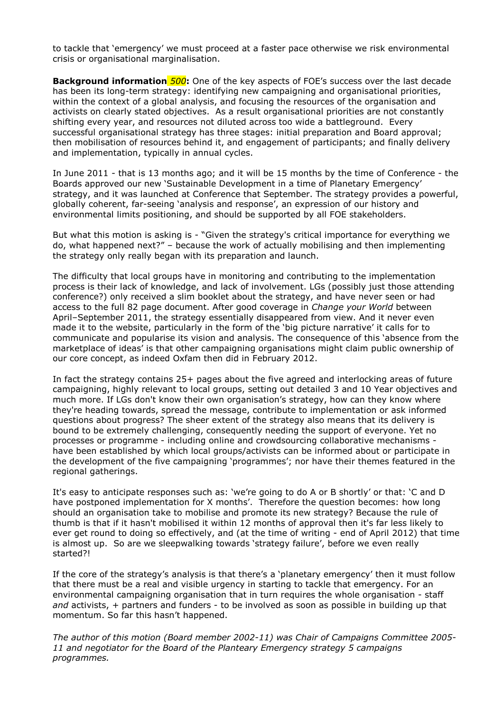to tackle that 'emergency' we must proceed at a faster pace otherwise we risk environmental crisis or organisational marginalisation.

**Background information** *500***:** One of the key aspects of FOE's success over the last decade has been its long-term strategy: identifying new campaigning and organisational priorities, within the context of a global analysis, and focusing the resources of the organisation and activists on clearly stated objectives. As a result organisational priorities are not constantly shifting every year, and resources not diluted across too wide a battleground. Every successful organisational strategy has three stages: initial preparation and Board approval; then mobilisation of resources behind it, and engagement of participants; and finally delivery and implementation, typically in annual cycles.

In June 2011 - that is 13 months ago; and it will be 15 months by the time of Conference - the Boards approved our new 'Sustainable Development in a time of Planetary Emergency' strategy, and it was launched at Conference that September. The strategy provides a powerful, globally coherent, far-seeing 'analysis and response', an expression of our history and environmental limits positioning, and should be supported by all FOE stakeholders.

But what this motion is asking is - "Given the strategy's critical importance for everything we do, what happened next?" – because the work of actually mobilising and then implementing the strategy only really began with its preparation and launch.

The difficulty that local groups have in monitoring and contributing to the implementation process is their lack of knowledge, and lack of involvement. LGs (possibly just those attending conference?) only received a slim booklet about the strategy, and have never seen or had access to the full 82 page document. After good coverage in *Change your World* between April–September 2011, the strategy essentially disappeared from view. And it never even made it to the website, particularly in the form of the 'big picture narrative' it calls for to communicate and popularise its vision and analysis. The consequence of this 'absence from the marketplace of ideas' is that other campaigning organisations might claim public ownership of our core concept, as indeed Oxfam then did in February 2012.

In fact the strategy contains 25+ pages about the five agreed and interlocking areas of future campaigning, highly relevant to local groups, setting out detailed 3 and 10 Year objectives and much more. If LGs don't know their own organisation's strategy, how can they know where they're heading towards, spread the message, contribute to implementation or ask informed questions about progress? The sheer extent of the strategy also means that its delivery is bound to be extremely challenging, consequently needing the support of everyone. Yet no processes or programme - including online and crowdsourcing collaborative mechanisms have been established by which local groups/activists can be informed about or participate in the development of the five campaigning 'programmes'; nor have their themes featured in the regional gatherings.

It's easy to anticipate responses such as: 'we're going to do A or B shortly' or that: 'C and D have postponed implementation for X months'. Therefore the question becomes: how long should an organisation take to mobilise and promote its new strategy? Because the rule of thumb is that if it hasn't mobilised it within 12 months of approval then it's far less likely to ever get round to doing so effectively, and (at the time of writing - end of April 2012) that time is almost up. So are we sleepwalking towards 'strategy failure', before we even really started?!

If the core of the strategy's analysis is that there's a 'planetary emergency' then it must follow that there must be a real and visible urgency in starting to tackle that emergency. For an environmental campaigning organisation that in turn requires the whole organisation - staff *and* activists, *+* partners and funders - to be involved as soon as possible in building up that momentum. So far this hasn't happened.

*The author of this motion (Board member 2002-11) was Chair of Campaigns Committee 2005- 11 and negotiator for the Board of the Planteary Emergency strategy 5 campaigns programmes.*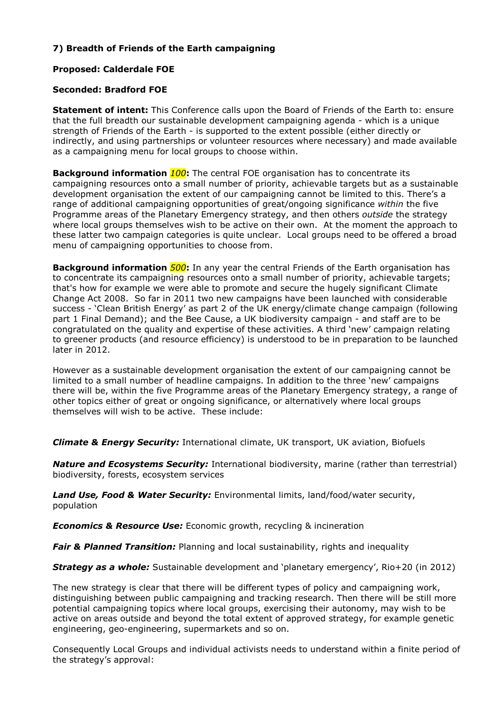# **7) Breadth of Friends of the Earth campaigning**

# **Proposed: Calderdale FOE**

## **Seconded: Bradford FOE**

**Statement of intent:** This Conference calls upon the Board of Friends of the Earth to: ensure that the full breadth our sustainable development campaigning agenda - which is a unique strength of Friends of the Earth - is supported to the extent possible (either directly or indirectly, and using partnerships or volunteer resources where necessary) and made available as a campaigning menu for local groups to choose within.

**Background information** *100***:** The central FOE organisation has to concentrate its campaigning resources onto a small number of priority, achievable targets but as a sustainable development organisation the extent of our campaigning cannot be limited to this. There's a range of additional campaigning opportunities of great/ongoing significance *within* the five Programme areas of the Planetary Emergency strategy, and then others *outside* the strategy where local groups themselves wish to be active on their own. At the moment the approach to these latter two campaign categories is quite unclear. Local groups need to be offered a broad menu of campaigning opportunities to choose from.

**Background information** *500***:** In any year the central Friends of the Earth organisation has to concentrate its campaigning resources onto a small number of priority, achievable targets; that's how for example we were able to promote and secure the hugely significant Climate Change Act 2008. So far in 2011 two new campaigns have been launched with considerable success - 'Clean British Energy' as part 2 of the UK energy/climate change campaign (following part 1 Final Demand); and the Bee Cause, a UK biodiversity campaign - and staff are to be congratulated on the quality and expertise of these activities. A third 'new' campaign relating to greener products (and resource efficiency) is understood to be in preparation to be launched later in 2012.

However as a sustainable development organisation the extent of our campaigning cannot be limited to a small number of headline campaigns. In addition to the three 'new' campaigns there will be, within the five Programme areas of the Planetary Emergency strategy, a range of other topics either of great or ongoing significance, or alternatively where local groups themselves will wish to be active. These include:

*Climate & Energy Security:* International climate, UK transport, UK aviation, Biofuels

*Nature and Ecosystems Security:* International biodiversity, marine (rather than terrestrial) biodiversity, forests, ecosystem services

*Land Use, Food & Water Security:* Environmental limits, land/food/water security, population

*Economics & Resource Use:* Economic growth, recycling & incineration

**Fair & Planned Transition:** Planning and local sustainability, rights and inequality

**Strategy as a whole:** Sustainable development and 'planetary emergency', Rio+20 (in 2012)

The new strategy is clear that there will be different types of policy and campaigning work, distinguishing between public campaigning and tracking research. Then there will be still more potential campaigning topics where local groups, exercising their autonomy, may wish to be active on areas outside and beyond the total extent of approved strategy, for example genetic engineering, geo-engineering, supermarkets and so on.

Consequently Local Groups and individual activists needs to understand within a finite period of the strategy's approval: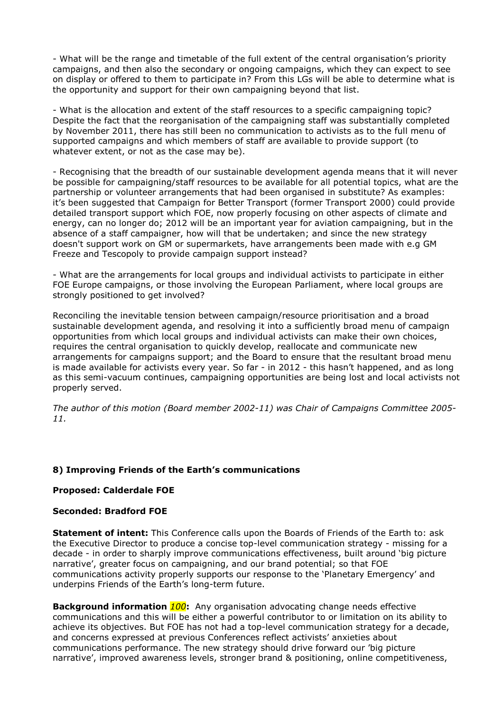- What will be the range and timetable of the full extent of the central organisation's priority campaigns, and then also the secondary or ongoing campaigns, which they can expect to see on display or offered to them to participate in? From this LGs will be able to determine what is the opportunity and support for their own campaigning beyond that list.

- What is the allocation and extent of the staff resources to a specific campaigning topic? Despite the fact that the reorganisation of the campaigning staff was substantially completed by November 2011, there has still been no communication to activists as to the full menu of supported campaigns and which members of staff are available to provide support (to whatever extent, or not as the case may be).

- Recognising that the breadth of our sustainable development agenda means that it will never be possible for campaigning/staff resources to be available for all potential topics, what are the partnership or volunteer arrangements that had been organised in substitute? As examples: it's been suggested that Campaign for Better Transport (former Transport 2000) could provide detailed transport support which FOE, now properly focusing on other aspects of climate and energy, can no longer do; 2012 will be an important year for aviation campaigning, but in the absence of a staff campaigner, how will that be undertaken; and since the new strategy doesn't support work on GM or supermarkets, have arrangements been made with e.g GM Freeze and Tescopoly to provide campaign support instead?

- What are the arrangements for local groups and individual activists to participate in either FOE Europe campaigns, or those involving the European Parliament, where local groups are strongly positioned to get involved?

Reconciling the inevitable tension between campaign/resource prioritisation and a broad sustainable development agenda, and resolving it into a sufficiently broad menu of campaign opportunities from which local groups and individual activists can make their own choices, requires the central organisation to quickly develop, reallocate and communicate new arrangements for campaigns support; and the Board to ensure that the resultant broad menu is made available for activists every year. So far - in 2012 - this hasn't happened, and as long as this semi-vacuum continues, campaigning opportunities are being lost and local activists not properly served.

*The author of this motion (Board member 2002-11) was Chair of Campaigns Committee 2005- 11.*

### **8) Improving Friends of the Earth's communications**

### **Proposed: Calderdale FOE**

### **Seconded: Bradford FOE**

**Statement of intent:** This Conference calls upon the Boards of Friends of the Earth to: ask the Executive Director to produce a concise top-level communication strategy - missing for a decade - in order to sharply improve communications effectiveness, built around 'big picture narrative', greater focus on campaigning, and our brand potential; so that FOE communications activity properly supports our response to the 'Planetary Emergency' and underpins Friends of the Earth's long-term future.

**Background information** *100***:** Any organisation advocating change needs effective communications and this will be either a powerful contributor to or limitation on its ability to achieve its objectives. But FOE has not had a top-level communication strategy for a decade, and concerns expressed at previous Conferences reflect activists' anxieties about communications performance. The new strategy should drive forward our 'big picture narrative', improved awareness levels, stronger brand & positioning, online competitiveness,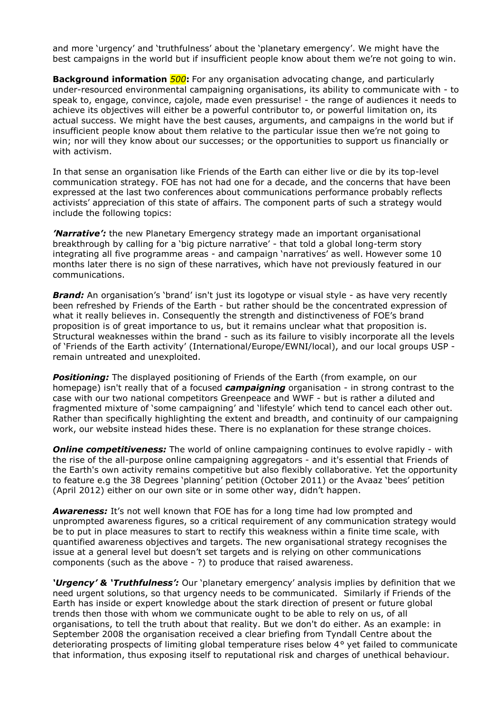and more 'urgency' and 'truthfulness' about the 'planetary emergency'. We might have the best campaigns in the world but if insufficient people know about them we're not going to win.

**Background information** *500***:** For any organisation advocating change, and particularly under-resourced environmental campaigning organisations, its ability to communicate with - to speak to, engage, convince, cajole, made even pressurise! - the range of audiences it needs to achieve its objectives will either be a powerful contributor to, or powerful limitation on, its actual success. We might have the best causes, arguments, and campaigns in the world but if insufficient people know about them relative to the particular issue then we're not going to win; nor will they know about our successes; or the opportunities to support us financially or with activism.

In that sense an organisation like Friends of the Earth can either live or die by its top-level communication strategy. FOE has not had one for a decade, and the concerns that have been expressed at the last two conferences about communications performance probably reflects activists' appreciation of this state of affairs. The component parts of such a strategy would include the following topics:

*'Narrative':* the new Planetary Emergency strategy made an important organisational breakthrough by calling for a 'big picture narrative' - that told a global long-term story integrating all five programme areas - and campaign 'narratives' as well. However some 10 months later there is no sign of these narratives, which have not previously featured in our communications.

**Brand:** An organisation's 'brand' isn't just its logotype or visual style - as have very recently been refreshed by Friends of the Earth - but rather should be the concentrated expression of what it really believes in. Consequently the strength and distinctiveness of FOE's brand proposition is of great importance to us, but it remains unclear what that proposition is. Structural weaknesses within the brand - such as its failure to visibly incorporate all the levels of 'Friends of the Earth activity' (International/Europe/EWNI/local), and our local groups USP remain untreated and unexploited.

**Positioning:** The displayed positioning of Friends of the Earth (from example, on our homepage) isn't really that of a focused *campaigning* organisation - in strong contrast to the case with our two national competitors Greenpeace and WWF - but is rather a diluted and fragmented mixture of 'some campaigning' and 'lifestyle' which tend to cancel each other out. Rather than specifically highlighting the extent and breadth, and continuity of our campaigning work, our website instead hides these. There is no explanation for these strange choices.

**Online competitiveness:** The world of online campaigning continues to evolve rapidly - with the rise of the all-purpose online campaigning aggregators - and it's essential that Friends of the Earth's own activity remains competitive but also flexibly collaborative. Yet the opportunity to feature e.g the 38 Degrees 'planning' petition (October 2011) or the Avaaz 'bees' petition (April 2012) either on our own site or in some other way, didn't happen.

*Awareness:* It's not well known that FOE has for a long time had low prompted and unprompted awareness figures, so a critical requirement of any communication strategy would be to put in place measures to start to rectify this weakness within a finite time scale, with quantified awareness objectives and targets. The new organisational strategy recognises the issue at a general level but doesn't set targets and is relying on other communications components (such as the above - ?) to produce that raised awareness.

'Urgency' & 'Truthfulness': Our 'planetary emergency' analysis implies by definition that we need urgent solutions, so that urgency needs to be communicated. Similarly if Friends of the Earth has inside or expert knowledge about the stark direction of present or future global trends then those with whom we communicate ought to be able to rely on us, of all organisations, to tell the truth about that reality. But we don't do either. As an example: in September 2008 the organisation received a clear briefing from Tyndall Centre about the deteriorating prospects of limiting global temperature rises below 4*°* yet failed to communicate that information, thus exposing itself to reputational risk and charges of unethical behaviour.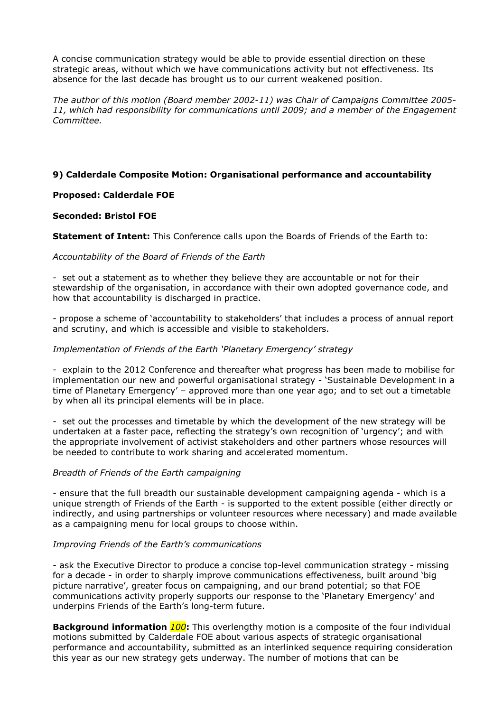A concise communication strategy would be able to provide essential direction on these strategic areas, without which we have communications activity but not effectiveness. Its absence for the last decade has brought us to our current weakened position.

*The author of this motion (Board member 2002-11) was Chair of Campaigns Committee 2005- 11, which had responsibility for communications until 2009; and a member of the Engagement Committee.* 

## **9) Calderdale Composite Motion: Organisational performance and accountability**

## **Proposed: Calderdale FOE**

### **Seconded: Bristol FOE**

**Statement of Intent:** This Conference calls upon the Boards of Friends of the Earth to:

#### *Accountability of the Board of Friends of the Earth*

- set out a statement as to whether they believe they are accountable or not for their stewardship of the organisation, in accordance with their own adopted governance code, and how that accountability is discharged in practice.

- propose a scheme of 'accountability to stakeholders' that includes a process of annual report and scrutiny, and which is accessible and visible to stakeholders.

#### *Implementation of Friends of the Earth 'Planetary Emergency' strategy*

- explain to the 2012 Conference and thereafter what progress has been made to mobilise for implementation our new and powerful organisational strategy - 'Sustainable Development in a time of Planetary Emergency' – approved more than one year ago; and to set out a timetable by when all its principal elements will be in place.

- set out the processes and timetable by which the development of the new strategy will be undertaken at a faster pace, reflecting the strategy's own recognition of 'urgency'; and with the appropriate involvement of activist stakeholders and other partners whose resources will be needed to contribute to work sharing and accelerated momentum.

### *Breadth of Friends of the Earth campaigning*

- ensure that the full breadth our sustainable development campaigning agenda - which is a unique strength of Friends of the Earth - is supported to the extent possible (either directly or indirectly, and using partnerships or volunteer resources where necessary) and made available as a campaigning menu for local groups to choose within.

#### *Improving Friends of the Earth's communications*

- ask the Executive Director to produce a concise top-level communication strategy - missing for a decade - in order to sharply improve communications effectiveness, built around 'big picture narrative', greater focus on campaigning, and our brand potential; so that FOE communications activity properly supports our response to the 'Planetary Emergency' and underpins Friends of the Earth's long-term future.

**Background information** *100***:** This overlengthy motion is a composite of the four individual motions submitted by Calderdale FOE about various aspects of strategic organisational performance and accountability, submitted as an interlinked sequence requiring consideration this year as our new strategy gets underway. The number of motions that can be